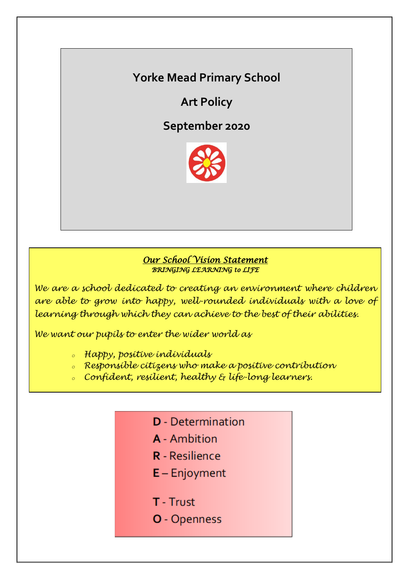# **Yorke Mead Primary School**

**Art Policy**

**September 2020**



# *Our School Vision Statement BRINGING LEARNING to LIFE*

*We are a school dedicated to creating an environment where children are able to grow into happy, well-rounded individuals with a love of learning through which they can achieve to the best of their abilities.*

*We want our pupils to enter the wider world as*

- *<sup>o</sup> Happy, positive individuals*
- *<sup>o</sup> Responsible citizens who make a positive contribution*
- *<sup>o</sup> Confident, resilient, healthy & life-long learners.*

| <b>D</b> - Determination |
|--------------------------|
| <b>A</b> - Ambition      |
| <b>R</b> - Resilience    |
| $E -$ Enjoyment          |
|                          |
| <b>T</b> - Trust         |
| <b>O</b> - Openness      |
|                          |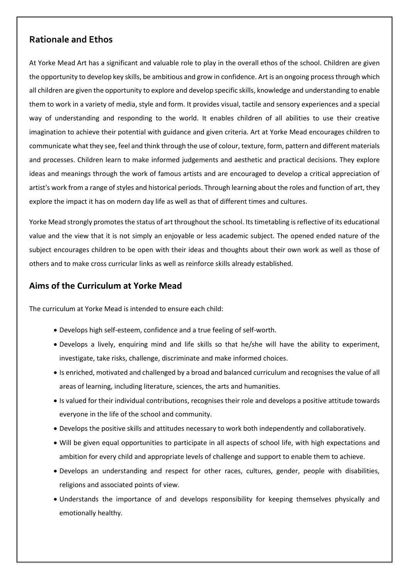# **Rationale and Ethos**

At Yorke Mead Art has a significant and valuable role to play in the overall ethos of the school. Children are given the opportunity to develop key skills, be ambitious and grow in confidence. Art is an ongoing process through which all children are given the opportunity to explore and develop specific skills, knowledge and understanding to enable them to work in a variety of media, style and form. It provides visual, tactile and sensory experiences and a special way of understanding and responding to the world. It enables children of all abilities to use their creative imagination to achieve their potential with guidance and given criteria. Art at Yorke Mead encourages children to communicate what they see, feel and think through the use of colour, texture, form, pattern and different materials and processes. Children learn to make informed judgements and aesthetic and practical decisions. They explore ideas and meanings through the work of famous artists and are encouraged to develop a critical appreciation of artist's work from a range of styles and historical periods. Through learning about the roles and function of art, they explore the impact it has on modern day life as well as that of different times and cultures.

Yorke Mead strongly promotes the status of art throughout the school. Its timetabling is reflective of its educational value and the view that it is not simply an enjoyable or less academic subject. The opened ended nature of the subject encourages children to be open with their ideas and thoughts about their own work as well as those of others and to make cross curricular links as well as reinforce skills already established.

# **Aims of the Curriculum at Yorke Mead**

The curriculum at Yorke Mead is intended to ensure each child:

- Develops high self-esteem, confidence and a true feeling of self-worth.
- Develops a lively, enquiring mind and life skills so that he/she will have the ability to experiment, investigate, take risks, challenge, discriminate and make informed choices.
- Is enriched, motivated and challenged by a broad and balanced curriculum and recognises the value of all areas of learning, including literature, sciences, the arts and humanities.
- Is valued for their individual contributions, recognises their role and develops a positive attitude towards everyone in the life of the school and community.
- Develops the positive skills and attitudes necessary to work both independently and collaboratively.
- Will be given equal opportunities to participate in all aspects of school life, with high expectations and ambition for every child and appropriate levels of challenge and support to enable them to achieve.
- Develops an understanding and respect for other races, cultures, gender, people with disabilities, religions and associated points of view.
- Understands the importance of and develops responsibility for keeping themselves physically and emotionally healthy.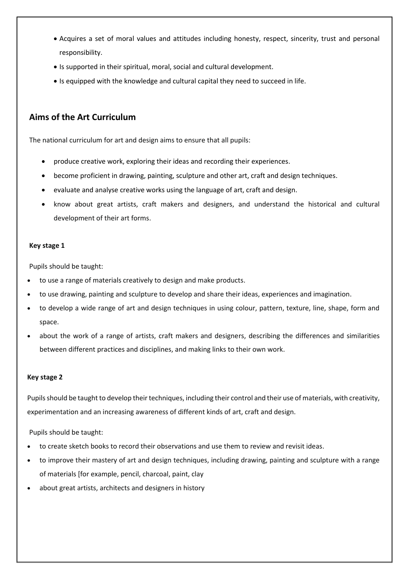- Acquires a set of moral values and attitudes including honesty, respect, sincerity, trust and personal responsibility.
- Is supported in their spiritual, moral, social and cultural development.
- Is equipped with the knowledge and cultural capital they need to succeed in life.

# **Aims of the Art Curriculum**

The national curriculum for art and design aims to ensure that all pupils:

- produce creative work, exploring their ideas and recording their experiences.
- become proficient in drawing, painting, sculpture and other art, craft and design techniques.
- evaluate and analyse creative works using the language of art, craft and design.
- know about great artists, craft makers and designers, and understand the historical and cultural development of their art forms.

#### **Key stage 1**

Pupils should be taught:

- to use a range of materials creatively to design and make products.
- to use drawing, painting and sculpture to develop and share their ideas, experiences and imagination.
- to develop a wide range of art and design techniques in using colour, pattern, texture, line, shape, form and space.
- about the work of a range of artists, craft makers and designers, describing the differences and similarities between different practices and disciplines, and making links to their own work.

#### **Key stage 2**

Pupils should be taught to develop their techniques, including their control and their use of materials, with creativity, experimentation and an increasing awareness of different kinds of art, craft and design.

Pupils should be taught:

- to create sketch books to record their observations and use them to review and revisit ideas.
- to improve their mastery of art and design techniques, including drawing, painting and sculpture with a range of materials [for example, pencil, charcoal, paint, clay
- about great artists, architects and designers in history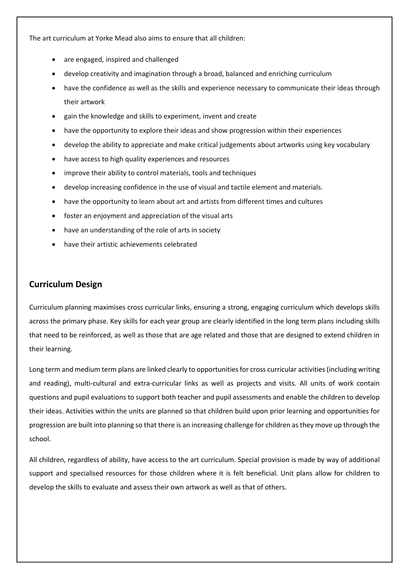The art curriculum at Yorke Mead also aims to ensure that all children:

- are engaged, inspired and challenged
- develop creativity and imagination through a broad, balanced and enriching curriculum
- have the confidence as well as the skills and experience necessary to communicate their ideas through their artwork
- gain the knowledge and skills to experiment, invent and create
- have the opportunity to explore their ideas and show progression within their experiences
- develop the ability to appreciate and make critical judgements about artworks using key vocabulary
- have access to high quality experiences and resources
- improve their ability to control materials, tools and techniques
- develop increasing confidence in the use of visual and tactile element and materials.
- have the opportunity to learn about art and artists from different times and cultures
- foster an enjoyment and appreciation of the visual arts
- have an understanding of the role of arts in society
- have their artistic achievements celebrated

#### **Curriculum Design**

Curriculum planning maximises cross curricular links, ensuring a strong, engaging curriculum which develops skills across the primary phase. Key skills for each year group are clearly identified in the long term plans including skills that need to be reinforced, as well as those that are age related and those that are designed to extend children in their learning.

Long term and medium term plans are linked clearly to opportunities for cross curricular activities (including writing and reading), multi-cultural and extra-curricular links as well as projects and visits. All units of work contain questions and pupil evaluations to support both teacher and pupil assessments and enable the children to develop their ideas. Activities within the units are planned so that children build upon prior learning and opportunities for progression are built into planning so that there is an increasing challenge for children as they move up through the school.

All children, regardless of ability, have access to the art curriculum. Special provision is made by way of additional support and specialised resources for those children where it is felt beneficial. Unit plans allow for children to develop the skills to evaluate and assess their own artwork as well as that of others.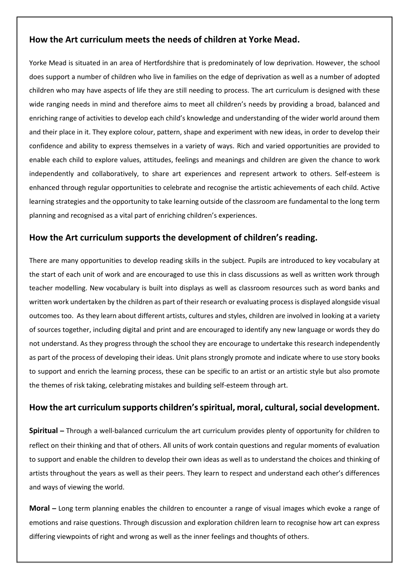# **How the Art curriculum meets the needs of children at Yorke Mead.**

Yorke Mead is situated in an area of Hertfordshire that is predominately of low deprivation. However, the school does support a number of children who live in families on the edge of deprivation as well as a number of adopted children who may have aspects of life they are still needing to process. The art curriculum is designed with these wide ranging needs in mind and therefore aims to meet all children's needs by providing a broad, balanced and enriching range of activities to develop each child's knowledge and understanding of the wider world around them and their place in it. They explore colour, pattern, shape and experiment with new ideas, in order to develop their confidence and ability to express themselves in a variety of ways. Rich and varied opportunities are provided to enable each child to explore values, attitudes, feelings and meanings and children are given the chance to work independently and collaboratively, to share art experiences and represent artwork to others. Self-esteem is enhanced through regular opportunities to celebrate and recognise the artistic achievements of each child. Active learning strategies and the opportunity to take learning outside of the classroom are fundamental to the long term planning and recognised as a vital part of enriching children's experiences.

# **How the Art curriculum supports the development of children's reading.**

There are many opportunities to develop reading skills in the subject. Pupils are introduced to key vocabulary at the start of each unit of work and are encouraged to use this in class discussions as well as written work through teacher modelling. New vocabulary is built into displays as well as classroom resources such as word banks and written work undertaken by the children as part of their research or evaluating process is displayed alongside visual outcomes too. As they learn about different artists, cultures and styles, children are involved in looking at a variety of sources together, including digital and print and are encouraged to identify any new language or words they do not understand. As they progress through the school they are encourage to undertake this research independently as part of the process of developing their ideas. Unit plans strongly promote and indicate where to use story books to support and enrich the learning process, these can be specific to an artist or an artistic style but also promote the themes of risk taking, celebrating mistakes and building self-esteem through art.

# **How the art curriculum supports children's spiritual, moral, cultural, social development.**

**Spiritual –** Through a well-balanced curriculum the art curriculum provides plenty of opportunity for children to reflect on their thinking and that of others. All units of work contain questions and regular moments of evaluation to support and enable the children to develop their own ideas as well as to understand the choices and thinking of artists throughout the years as well as their peers. They learn to respect and understand each other's differences and ways of viewing the world.

**Moral –** Long term planning enables the children to encounter a range of visual images which evoke a range of emotions and raise questions. Through discussion and exploration children learn to recognise how art can express differing viewpoints of right and wrong as well as the inner feelings and thoughts of others.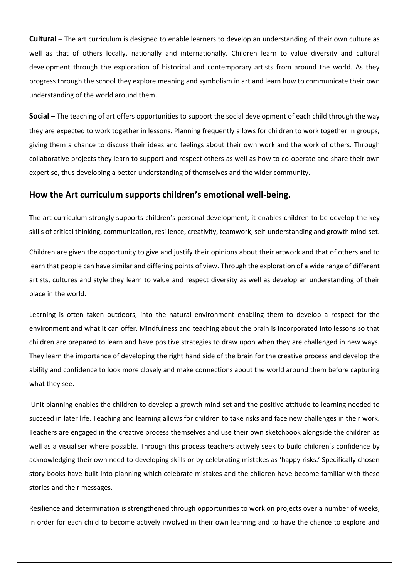**Cultural –** The art curriculum is designed to enable learners to develop an understanding of their own culture as well as that of others locally, nationally and internationally. Children learn to value diversity and cultural development through the exploration of historical and contemporary artists from around the world. As they progress through the school they explore meaning and symbolism in art and learn how to communicate their own understanding of the world around them.

**Social –** The teaching of art offers opportunities to support the social development of each child through the way they are expected to work together in lessons. Planning frequently allows for children to work together in groups, giving them a chance to discuss their ideas and feelings about their own work and the work of others. Through collaborative projects they learn to support and respect others as well as how to co-operate and share their own expertise, thus developing a better understanding of themselves and the wider community.

#### **How the Art curriculum supports children's emotional well-being.**

The art curriculum strongly supports children's personal development, it enables children to be develop the key skills of critical thinking, communication, resilience, creativity, teamwork, self-understanding and growth mind-set.

Children are given the opportunity to give and justify their opinions about their artwork and that of others and to learn that people can have similar and differing points of view. Through the exploration of a wide range of different artists, cultures and style they learn to value and respect diversity as well as develop an understanding of their place in the world.

Learning is often taken outdoors, into the natural environment enabling them to develop a respect for the environment and what it can offer. Mindfulness and teaching about the brain is incorporated into lessons so that children are prepared to learn and have positive strategies to draw upon when they are challenged in new ways. They learn the importance of developing the right hand side of the brain for the creative process and develop the ability and confidence to look more closely and make connections about the world around them before capturing what they see.

Unit planning enables the children to develop a growth mind-set and the positive attitude to learning needed to succeed in later life. Teaching and learning allows for children to take risks and face new challenges in their work. Teachers are engaged in the creative process themselves and use their own sketchbook alongside the children as well as a visualiser where possible. Through this process teachers actively seek to build children's confidence by acknowledging their own need to developing skills or by celebrating mistakes as 'happy risks.' Specifically chosen story books have built into planning which celebrate mistakes and the children have become familiar with these stories and their messages.

Resilience and determination is strengthened through opportunities to work on projects over a number of weeks, in order for each child to become actively involved in their own learning and to have the chance to explore and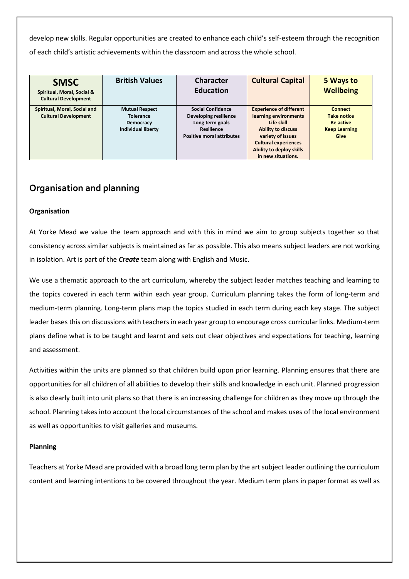develop new skills. Regular opportunities are created to enhance each child's self-esteem through the recognition of each child's artistic achievements within the classroom and across the whole school.

| <b>SMSC</b><br>Spiritual, Moral, Social &<br><b>Cultural Development</b> | <b>British Values</b>                                                                      | <b>Character</b><br><b>Education</b>                                                                                          | <b>Cultural Capital</b>                                                                                                                                                                                         | 5 Ways to<br><b>Wellbeing</b>                                                     |
|--------------------------------------------------------------------------|--------------------------------------------------------------------------------------------|-------------------------------------------------------------------------------------------------------------------------------|-----------------------------------------------------------------------------------------------------------------------------------------------------------------------------------------------------------------|-----------------------------------------------------------------------------------|
| Spiritual, Moral, Social and<br><b>Cultural Development</b>              | <b>Mutual Respect</b><br><b>Tolerance</b><br><b>Democracy</b><br><b>Individual liberty</b> | <b>Social Confidence</b><br>Developing resilience<br>Long term goals<br><b>Resilience</b><br><b>Positive moral attributes</b> | <b>Experience of different</b><br>learning environments<br>Life skill<br><b>Ability to discuss</b><br>variety of issues<br><b>Cultural experiences</b><br><b>Ability to deploy skills</b><br>in new situations. | <b>Connect</b><br><b>Take notice</b><br>Be active<br><b>Keep Learning</b><br>Give |

# **Organisation and planning**

#### **Organisation**

At Yorke Mead we value the team approach and with this in mind we aim to group subjects together so that consistency across similar subjects is maintained as far as possible. This also means subject leaders are not working in isolation. Art is part of the *Create* team along with English and Music.

We use a thematic approach to the art curriculum, whereby the subject leader matches teaching and learning to the topics covered in each term within each year group. Curriculum planning takes the form of long-term and medium-term planning. Long-term plans map the topics studied in each term during each key stage. The subject leader bases this on discussions with teachers in each year group to encourage cross curricular links. Medium-term plans define what is to be taught and learnt and sets out clear objectives and expectations for teaching, learning and assessment.

Activities within the units are planned so that children build upon prior learning. Planning ensures that there are opportunities for all children of all abilities to develop their skills and knowledge in each unit. Planned progression is also clearly built into unit plans so that there is an increasing challenge for children as they move up through the school. Planning takes into account the local circumstances of the school and makes uses of the local environment as well as opportunities to visit galleries and museums.

#### **Planning**

Teachers at Yorke Mead are provided with a broad long term plan by the art subject leader outlining the curriculum content and learning intentions to be covered throughout the year. Medium term plans in paper format as well as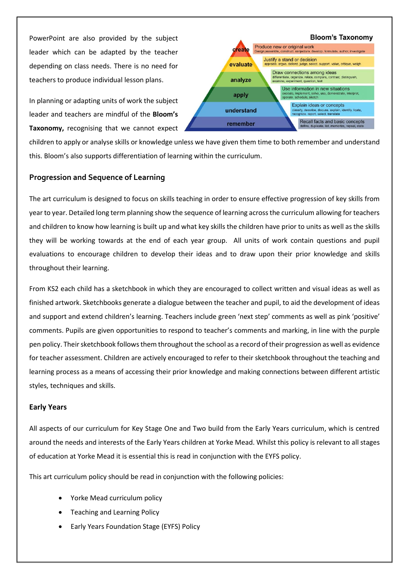PowerPoint are also provided by the subject leader which can be adapted by the teacher depending on class needs. There is no need for teachers to produce individual lesson plans.

In planning or adapting units of work the subject leader and teachers are mindful of the **Bloom's Taxonomy,** recognising that we cannot expect



children to apply or analyse skills or knowledge unless we have given them time to both remember and understand this. Bloom's also supports differentiation of learning within the curriculum.

#### **Progression and Sequence of Learning**

The art curriculum is designed to focus on skills teaching in order to ensure effective progression of key skills from year to year. Detailed long term planning show the sequence of learning across the curriculum allowing for teachers and children to know how learning is built up and what key skills the children have prior to units as well as the skills they will be working towards at the end of each year group. All units of work contain questions and pupil evaluations to encourage children to develop their ideas and to draw upon their prior knowledge and skills throughout their learning.

From KS2 each child has a sketchbook in which they are encouraged to collect written and visual ideas as well as finished artwork. Sketchbooks generate a dialogue between the teacher and pupil, to aid the development of ideas and support and extend children's learning. Teachers include green 'next step' comments as well as pink 'positive' comments. Pupils are given opportunities to respond to teacher's comments and marking, in line with the purple pen policy. Their sketchbook follows them throughout the school as a record of their progression as well as evidence for teacher assessment. Children are actively encouraged to refer to their sketchbook throughout the teaching and learning process as a means of accessing their prior knowledge and making connections between different artistic styles, techniques and skills.

#### **Early Years**

All aspects of our curriculum for Key Stage One and Two build from the Early Years curriculum, which is centred around the needs and interests of the Early Years children at Yorke Mead. Whilst this policy is relevant to all stages of education at Yorke Mead it is essential this is read in conjunction with the EYFS policy.

This art curriculum policy should be read in conjunction with the following policies:

- Yorke Mead curriculum policy
- Teaching and Learning Policy
- Early Years Foundation Stage (EYFS) Policy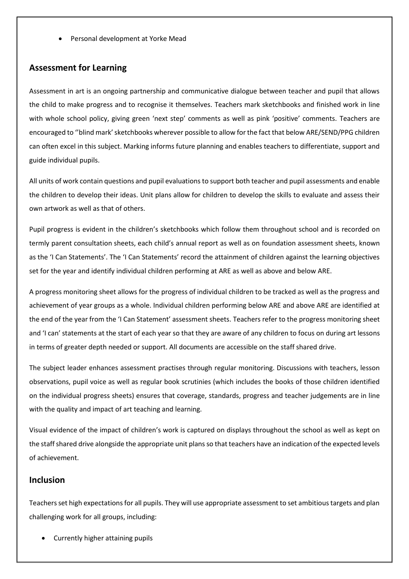Personal development at Yorke Mead

#### **Assessment for Learning**

Assessment in art is an ongoing partnership and communicative dialogue between teacher and pupil that allows the child to make progress and to recognise it themselves. Teachers mark sketchbooks and finished work in line with whole school policy, giving green 'next step' comments as well as pink 'positive' comments. Teachers are encouraged to ''blind mark' sketchbooks wherever possible to allow for the fact that below ARE/SEND/PPG children can often excel in this subject. Marking informs future planning and enables teachers to differentiate, support and guide individual pupils.

All units of work contain questions and pupil evaluations to support both teacher and pupil assessments and enable the children to develop their ideas. Unit plans allow for children to develop the skills to evaluate and assess their own artwork as well as that of others.

Pupil progress is evident in the children's sketchbooks which follow them throughout school and is recorded on termly parent consultation sheets, each child's annual report as well as on foundation assessment sheets, known as the 'I Can Statements'. The 'I Can Statements' record the attainment of children against the learning objectives set for the year and identify individual children performing at ARE as well as above and below ARE.

A progress monitoring sheet allows for the progress of individual children to be tracked as well as the progress and achievement of year groups as a whole. Individual children performing below ARE and above ARE are identified at the end of the year from the 'I Can Statement' assessment sheets. Teachers refer to the progress monitoring sheet and 'I can' statements at the start of each year so that they are aware of any children to focus on during art lessons in terms of greater depth needed or support. All documents are accessible on the staff shared drive.

The subject leader enhances assessment practises through regular monitoring. Discussions with teachers, lesson observations, pupil voice as well as regular book scrutinies (which includes the books of those children identified on the individual progress sheets) ensures that coverage, standards, progress and teacher judgements are in line with the quality and impact of art teaching and learning.

Visual evidence of the impact of children's work is captured on displays throughout the school as well as kept on the staff shared drive alongside the appropriate unit plans so that teachers have an indication of the expected levels of achievement.

### **Inclusion**

Teachers set high expectations for all pupils. They will use appropriate assessment to set ambitious targets and plan challenging work for all groups, including:

Currently higher attaining pupils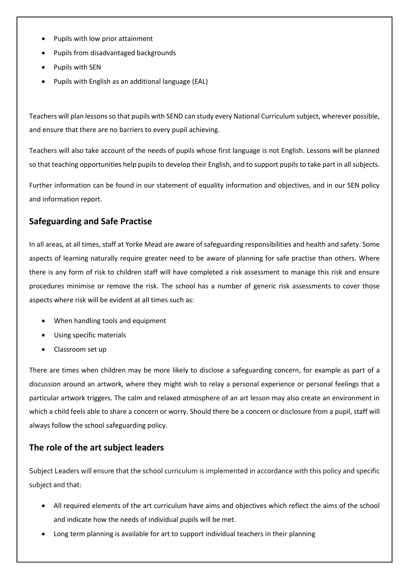- Pupils with low prior attainment
- Pupils from disadvantaged backgrounds
- Pupils with SEN
- Pupils with English as an additional language (EAL)

Teachers will plan lessons so that pupils with SEND can study every National Curriculum subject, wherever possible, and ensure that there are no barriers to every pupil achieving.

Teachers will also take account of the needs of pupils whose first language is not English. Lessons will be planned so that teaching opportunities help pupils to develop their English, and to support pupils to take part in all subjects.

Further information can be found in our statement of equality information and objectives, and in our SEN policy and information report.

# **Safeguarding and Safe Practise**

In all areas, at all times, staff at Yorke Mead are aware of safeguarding responsibilities and health and safety. Some aspects of learning naturally require greater need to be aware of planning for safe practise than others. Where there is any form of risk to children staff will have completed a risk assessment to manage this risk and ensure procedures minimise or remove the risk. The school has a number of generic risk assessments to cover those aspects where risk will be evident at all times such as:

- When handling tools and equipment
- Using specific materials
- Classroom set up

There are times when children may be more likely to disclose a safeguarding concern, for example as part of a discussion around an artwork, where they might wish to relay a personal experience or personal feelings that a particular artwork triggers. The calm and relaxed atmosphere of an art lesson may also create an environment in which a child feels able to share a concern or worry. Should there be a concern or disclosure from a pupil, staff will always follow the school safeguarding policy.

# **The role of the art subject leaders**

Subject Leaders will ensure that the school curriculum is implemented in accordance with this policy and specific subject and that:

- All required elements of the art curriculum have aims and objectives which reflect the aims of the school and indicate how the needs of individual pupils will be met.
- Long term planning is available for art to support individual teachers in their planning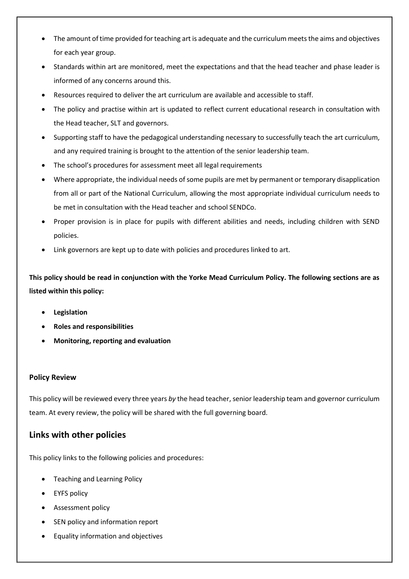- The amount of time provided for teaching art is adequate and the curriculum meets the aims and objectives for each year group.
- Standards within art are monitored, meet the expectations and that the head teacher and phase leader is informed of any concerns around this.
- Resources required to deliver the art curriculum are available and accessible to staff.
- The policy and practise within art is updated to reflect current educational research in consultation with the Head teacher, SLT and governors.
- Supporting staff to have the pedagogical understanding necessary to successfully teach the art curriculum, and any required training is brought to the attention of the senior leadership team.
- The school's procedures for assessment meet all legal requirements
- Where appropriate, the individual needs of some pupils are met by permanent or temporary disapplication from all or part of the National Curriculum, allowing the most appropriate individual curriculum needs to be met in consultation with the Head teacher and school SENDCo.
- Proper provision is in place for pupils with different abilities and needs, including children with SEND policies.
- Link governors are kept up to date with policies and procedures linked to art.

**This policy should be read in conjunction with the Yorke Mead Curriculum Policy. The following sections are as listed within this policy:** 

- **Legislation**
- **Roles and responsibilities**
- **Monitoring, reporting and evaluation**

#### **Policy Review**

This policy will be reviewed every three years *by* the head teacher, senior leadership team and governor curriculum team. At every review, the policy will be shared with the full governing board.

# **Links with other policies**

This policy links to the following policies and procedures:

- Teaching and Learning Policy
- EYFS policy
- Assessment policy
- SEN policy and information report
- Equality information and objectives